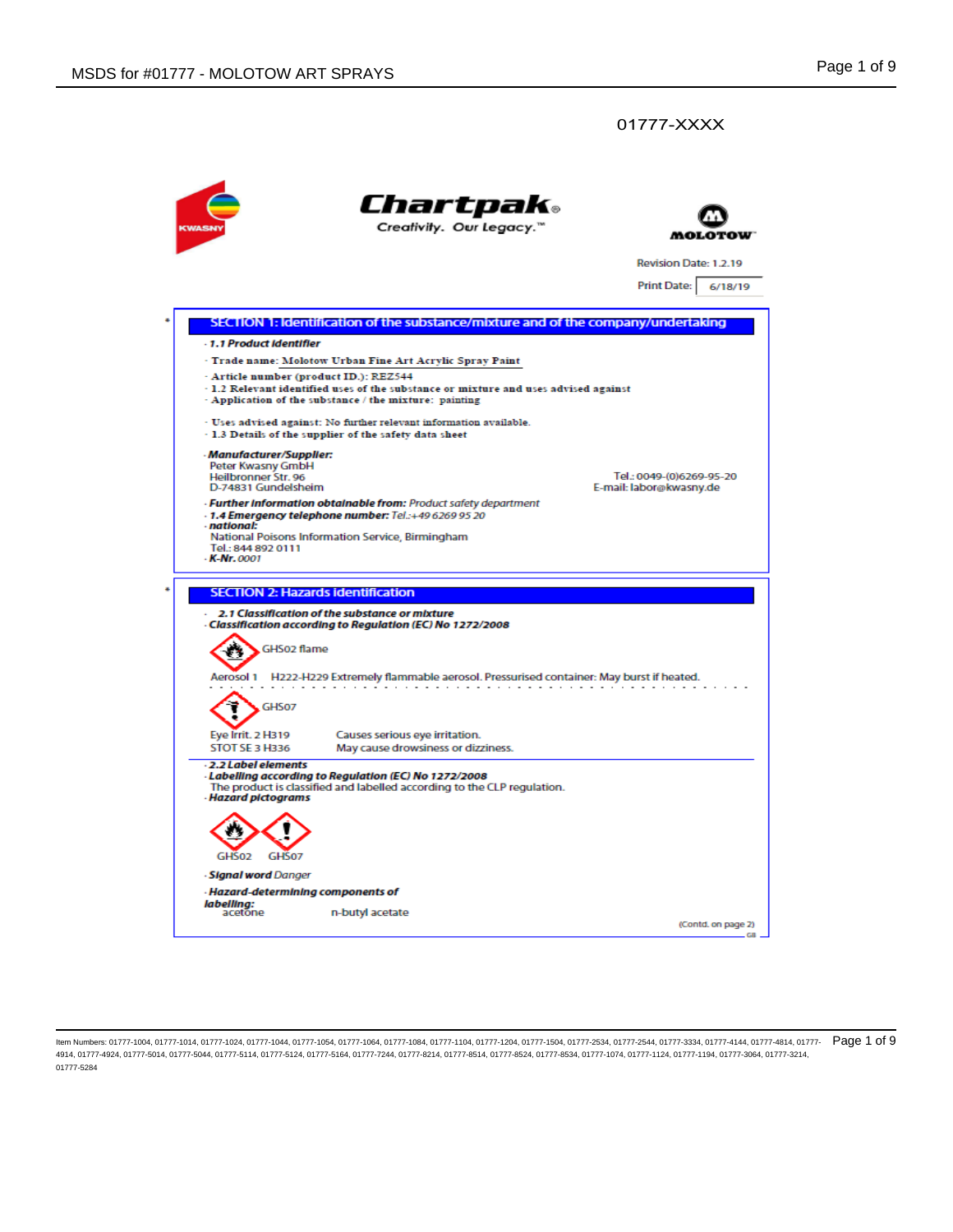

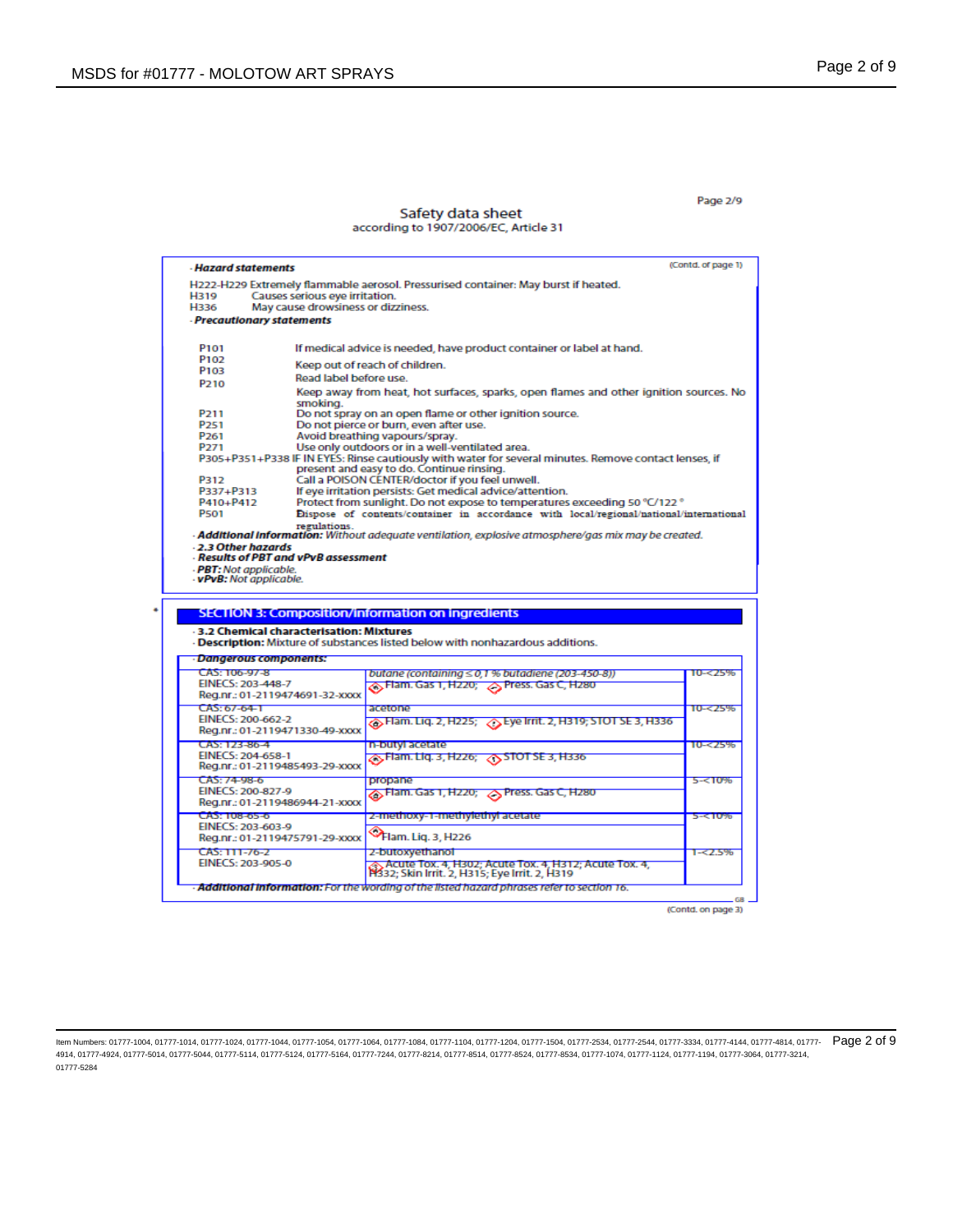### Page 2/9

### Safety data sheet according to 1907/2006/EC, Article 31

|                                                     | (Contd. of page 1)<br>- Hazard statements                                                                                   |                       |  |  |
|-----------------------------------------------------|-----------------------------------------------------------------------------------------------------------------------------|-----------------------|--|--|
|                                                     | H222-H229 Extremely flammable aerosol. Pressurised container: May burst if heated.                                          |                       |  |  |
| <b>H319</b>                                         | Causes serious eve irritation.                                                                                              |                       |  |  |
| H336                                                | May cause drowsiness or dizziness.                                                                                          |                       |  |  |
| - Precautionary statements                          |                                                                                                                             |                       |  |  |
| P <sub>101</sub>                                    | If medical advice is needed, have product container or label at hand.                                                       |                       |  |  |
| P <sub>102</sub>                                    |                                                                                                                             |                       |  |  |
| P <sub>103</sub>                                    | Keep out of reach of children.                                                                                              |                       |  |  |
| P <sub>210</sub>                                    | Read label before use.                                                                                                      |                       |  |  |
|                                                     | Keep away from heat, hot surfaces, sparks, open flames and other ignition sources. No<br>smoking.                           |                       |  |  |
| P <sub>211</sub>                                    | Do not spray on an open flame or other ignition source.                                                                     |                       |  |  |
| P <sub>251</sub>                                    | Do not pierce or burn, even after use.                                                                                      |                       |  |  |
| P <sub>261</sub>                                    | Avoid breathing vapours/spray.                                                                                              |                       |  |  |
| P <sub>271</sub>                                    | Use only outdoors or in a well-ventilated area.                                                                             |                       |  |  |
|                                                     | P305+P351+P338 IF IN EYES: Rinse cautiously with water for several minutes. Remove contact lenses, if                       |                       |  |  |
|                                                     | present and easy to do. Continue rinsing.                                                                                   |                       |  |  |
| P312                                                | Call a POISON CENTER/doctor if you feel unwell.                                                                             |                       |  |  |
| P337+P313                                           | If eye irritation persists: Get medical advice/attention.                                                                   |                       |  |  |
| P410+P412<br><b>P501</b>                            | Protect from sunlight. Do not expose to temperatures exceeding 50 °C/122 °                                                  |                       |  |  |
|                                                     | Dispose of contents/container in accordance with local/regional/national/international<br>regulations.                      |                       |  |  |
| - PBT: Not applicable.<br>- vPvB: Not applicable.   |                                                                                                                             |                       |  |  |
|                                                     | <b>SECTION 3: Composition/information on ingredients</b>                                                                    |                       |  |  |
|                                                     | - 3.2 Chemical characterisation: Mixtures<br>- Description: Mixture of substances listed below with nonhazardous additions. |                       |  |  |
| - Dangerous components:                             |                                                                                                                             |                       |  |  |
| CAS: 106-97-8                                       | butane (containing ≤ 0,1 % butadiene (203-450-8))                                                                           |                       |  |  |
| EINECS: 203-448-7                                   | A Flam. Gas 1, H220; A Press. Gas C, H280                                                                                   |                       |  |  |
| Reg.nr.: 01-2119474691-32-xxxx<br>$CAS: 67-64-1$    | acetone                                                                                                                     |                       |  |  |
| EINECS: 200-662-2                                   | s Flam. Liq. 2, H225; △ Eye Irrit. 2, H319; STOT SE 3, H336                                                                 |                       |  |  |
| Reg.nr.: 01-2119471330-49-xxxx                      |                                                                                                                             |                       |  |  |
| CAS: 123-86-4                                       | n-butyl acetate                                                                                                             |                       |  |  |
| EINECS: 204-658-1<br>Reg.nr.: 01-2119485493-29-xxxx | <mark><br/>&gt;,Flam. Liq. 3, H226; &lt;STOT SE 3, H336</mark>                                                              | 10-<25%               |  |  |
| $CAS: 74-98-6$                                      | <b>DIODEINE</b>                                                                                                             | 10-<25%<br>$5 - 50%$  |  |  |
| EINECS: 200-827-9                                   | ∧ Flam. Gas 1, H220; ∧ Press. Gas C, H280                                                                                   |                       |  |  |
| Reg.nr.: 01-2119486944-21-xxxx                      |                                                                                                                             |                       |  |  |
| $CAS: 108-05-0$                                     | 2-methoxy-1-methylethyl acetate                                                                                             | 5-<10%                |  |  |
| EINECS: 203-603-9                                   |                                                                                                                             |                       |  |  |
| Reg.nr.: 01-2119475791-29-xxxx                      | Plam. Liq. 3, H226                                                                                                          |                       |  |  |
| CAS: 111-76-2<br>EINECS: 203-905-0                  | 2-butoxyethanol<br>. Acute Tox. 4, H302; Acute Tox. 4, H312; Acute Tox. 4,<br>H332; Skin Irrit. 2, H315; Eye Irrit. 2, H319 | $10 - 25%$<br>1-<2.5% |  |  |

(Contd. on page 3)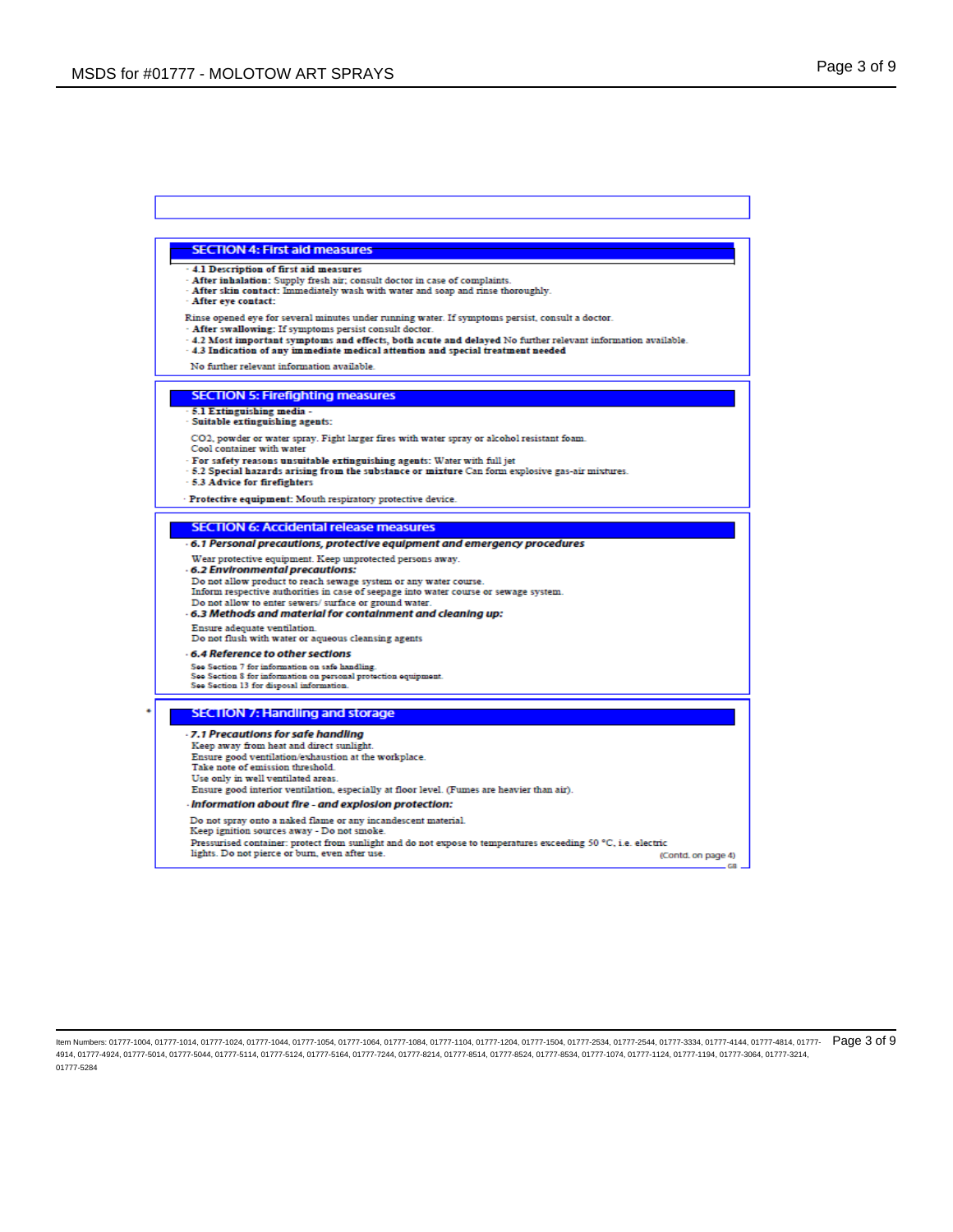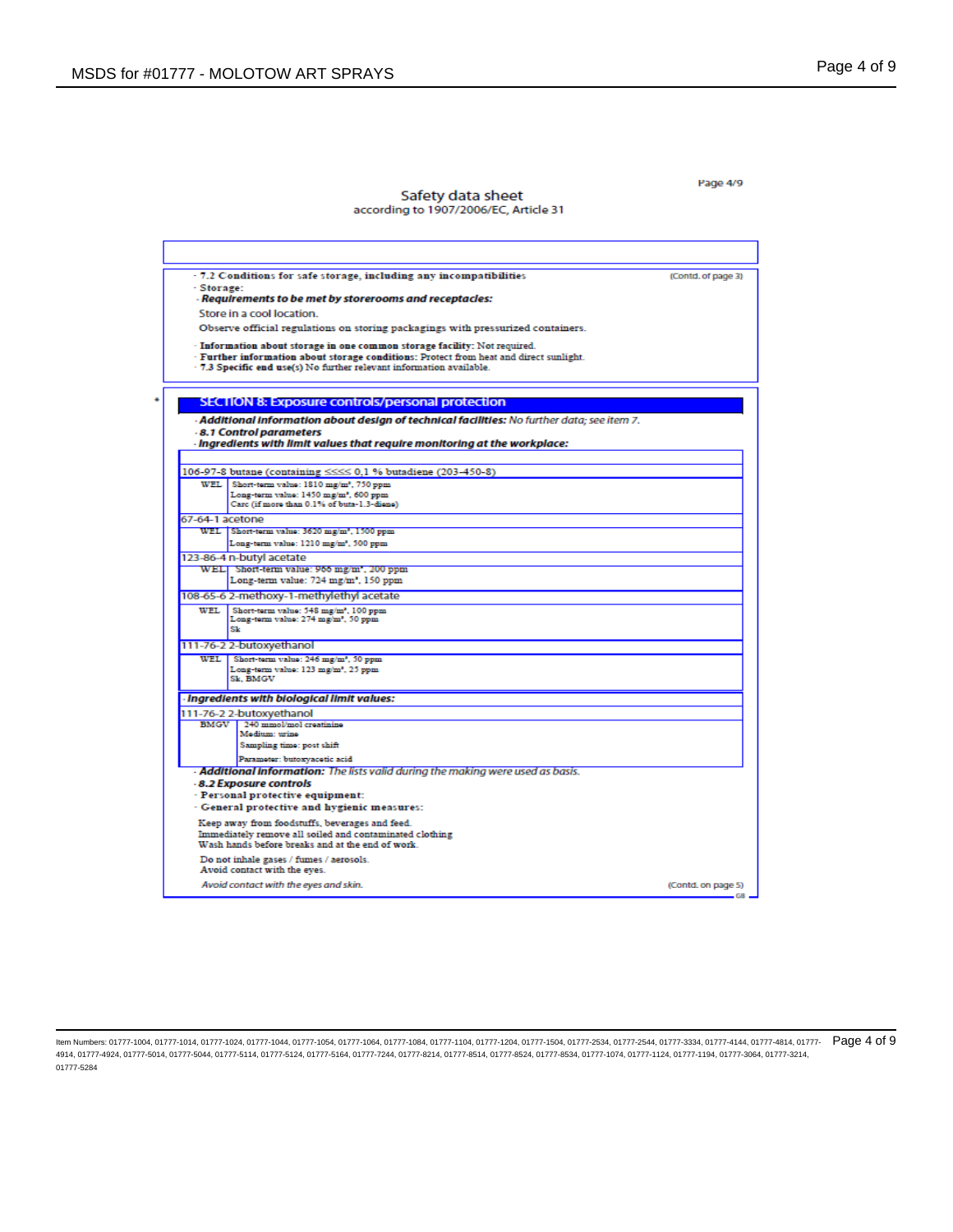Page 4/9

## Safety data sheet<br>according to 1907/2006/EC, Article 31

|                 | · 7.2 Conditions for safe storage, including any incompatibilities                                                   | (Contd. of page 3) |
|-----------------|----------------------------------------------------------------------------------------------------------------------|--------------------|
| · Storage:      |                                                                                                                      |                    |
|                 | - Regulrements to be met by storerooms and receptacles:                                                              |                    |
|                 | Store in a cool location.                                                                                            |                    |
|                 | Observe official regulations on storing packagings with pressurized containers.                                      |                    |
|                 | - Information about storage in one common storage facility: Not required.                                            |                    |
|                 | · Further information about storage conditions: Protect from heat and direct sunlight.                               |                    |
|                 | - 7.3 Specific end use(s) No further relevant information available.                                                 |                    |
|                 |                                                                                                                      |                    |
|                 | <b>SECTION 8: Exposure controls/personal protection</b>                                                              |                    |
|                 | - <b>Additional information about design of technical facilities:</b> No further data; see item 7.                   |                    |
|                 | -8.1 Control parameters                                                                                              |                    |
|                 | - ingredients with limit values that regulre monitoring at the workplace:                                            |                    |
|                 |                                                                                                                      |                    |
|                 | 106-97-8 butane (containing <<<< 0.1 % butadiene (203-450-8)                                                         |                    |
|                 | WEL Short-term value: 1810 mg/m <sup>2</sup> , 750 ppm                                                               |                    |
|                 | Long-term value: 1450 mg/m <sup>2</sup> , 600 ppm<br>Carc (if more than 0.1% of buta-1.3-diene)                      |                    |
|                 |                                                                                                                      |                    |
| 67-64-1 acetone | WEL Short-term value: 3620 mg/m <sup>2</sup> , 1500 ppm                                                              |                    |
|                 | Long-term value: 1210 mg/m <sup>2</sup> , 500 ppm                                                                    |                    |
|                 |                                                                                                                      |                    |
|                 | 123-86-4 n-butyl acetate<br>WEL Short-term value: 966 mg/m", 200 ppm                                                 |                    |
|                 | Long-term value: 724 mg/m², 150 ppm                                                                                  |                    |
|                 | 108-65-6 2-methoxy-1-methylethyl acetate                                                                             |                    |
| WEL.            | Short-term value: 548 mg/m <sup>2</sup> , 100 ppm                                                                    |                    |
|                 | Long-term value: 274 mg/m <sup>2</sup> , 50 ppm<br>Sk                                                                |                    |
|                 | 111-76-2 2-butoxyethanol                                                                                             |                    |
| WEL.            | Short-term value: 246 mg/m <sup>2</sup> , 50 ppm                                                                     |                    |
|                 | Long-term value: 123 mg/m2, 25 ppm                                                                                   |                    |
|                 | Sk. BMGV                                                                                                             |                    |
|                 | - Ingredients with biological limit values:                                                                          |                    |
|                 | 111-76-2 2-butoxyethanol                                                                                             |                    |
|                 | BMGV 240 mmol/mol creatinine                                                                                         |                    |
|                 | Medium: urine<br>Sampling time: post shift                                                                           |                    |
|                 |                                                                                                                      |                    |
|                 | Parameter: butoxyacetic acid<br><b>Additional information:</b> The lists valid during the making were used as basis. |                    |
|                 | -8.2 Exposure controls                                                                                               |                    |
|                 | - Personal protective equipment:                                                                                     |                    |
|                 | - General protective and hygienic measures:                                                                          |                    |
|                 | Keep away from foodstuffs, beverages and feed.                                                                       |                    |
|                 | Immediately remove all soiled and contaminated clothing                                                              |                    |
|                 | Wash hands before breaks and at the end of work.                                                                     |                    |
|                 | Do not inhale gases / fumes / aerosols.                                                                              |                    |
|                 | Avoid contact with the eves.                                                                                         |                    |
|                 |                                                                                                                      |                    |

ltem Numbers: 01777-1004, 01777-1014, 01777-1024, 01777-1044, 01777-1064, 01777-1084, 01777-1104, 01777-1104, 01777-104, 01777-1054, 01777-2534, 01777-2544, 01777-2544, 01777-4144, 01777-4814, 01777-4814, 01777-2544, 01777 4914, 01777-4924, 01777-5014, 01777-5044, 01777-5114, 01777-5124, 01777-5164, 01777-7244, 01777-8214, 01777-8514, 01777-8524, 01777-8534, 01777-1074, 01777-1124, 01777-1194, 01777-3064, 01777-3214, 01777-5284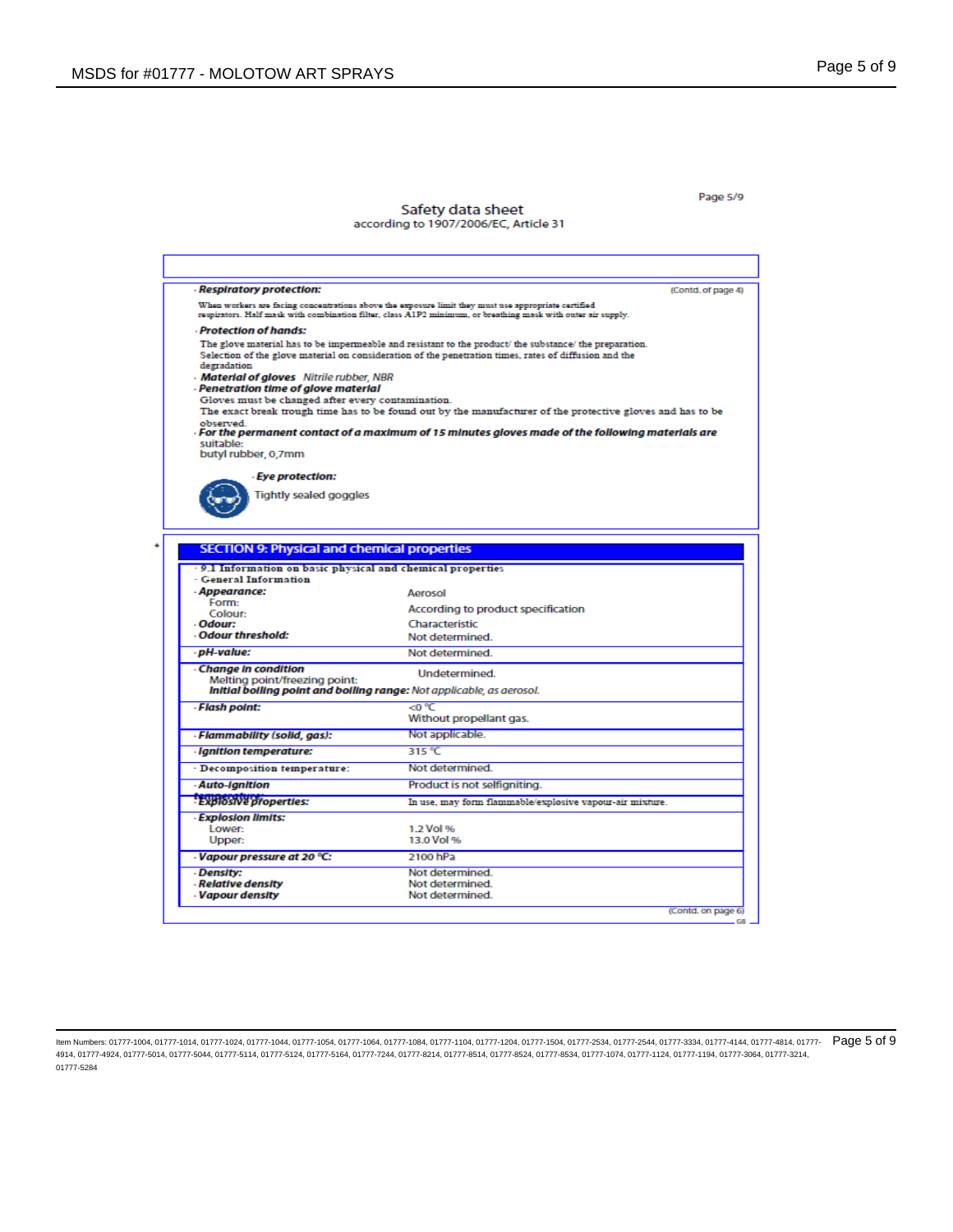#### Page 5/9

#### Safety data sheet according to 1907/2006/EC, Article 31

**Respiratory protection:** (Contd. of page 4) When workers are facing concentrations above the exposure limit they must use appropriate certified<br>respirators. Half mask with combination filter, class A1P2 minimum, or breathing mask with outer air supply. **Protection of hands:** The glove material has to be impermeable and resistant to the product/ the substance/ the preparation. Selection of the glove material on consideration of the penetration times, rates of diffusion and the degradation Material of gloves Nitrile rubber, NBR - Penetration time of glove material Gloves must be changed after every contamination. The exact break trough time has to be found out by the manufacturer of the protective gloves and has to be observed.<br>- For the permanent contact of a maximum of 15 minutes gloves made of the following materials are<br>- suitable: suitable:<br>butyl rubber, 0,7mm **Eye protection:** Tightly sealed goggles **SECTION 9: Physical and chemical properties** 9.1 Information on basic physical and chemical properties **General Information** Appearance: Aerosol Form: According to product specification Colour: Odour: Characteristic Odour threshold: Not determined. · pH-value: Not determined. **Change In condition** Undetermined. Melting point/freezing point:<br>Initial bolling point and bolling range: Not applicable, as aerosol. **Flash point:** <0 ℃ Without propellant gas. · Flammability (solid, gas): Not applicable. - Ignition temperature: 315 °C Decomposition temperature: Not determined. **Auto-Ignition** Product is not selfigniting. **Explosive properties:** In use, may form flammable/explosive vapour-air mixture. **Explosion limits:** Lower: 1.2 Vol % Upper: 13.0 Vol % 2100 hPa Vapour pressure at 20 °C: Density: Not determined. **Relative density** Not determined. **Vapour density** Not determined. (Contd. on page 6)

ltem Numbers: 01777-1004, 01777-1014, 01777-1024, 01777-1044, 01777-1064, 01777-1084, 01777-1104, 01777-1104, 01777-104, 01777-1054, 01777-2534, 01777-2544, 01777-2544, 01777-4144, 01777-4814, 01777-4814, 01777-2544, 01777 4914, 01777-4924, 01777-5014, 01777-5044, 01777-5114, 01777-5124, 01777-5164, 01777-7244, 01777-8214, 01777-8514, 01777-8524, 01777-8534, 01777-1074, 01777-1124, 01777-1194, 01777-3064, 01777-3214, 01777-5284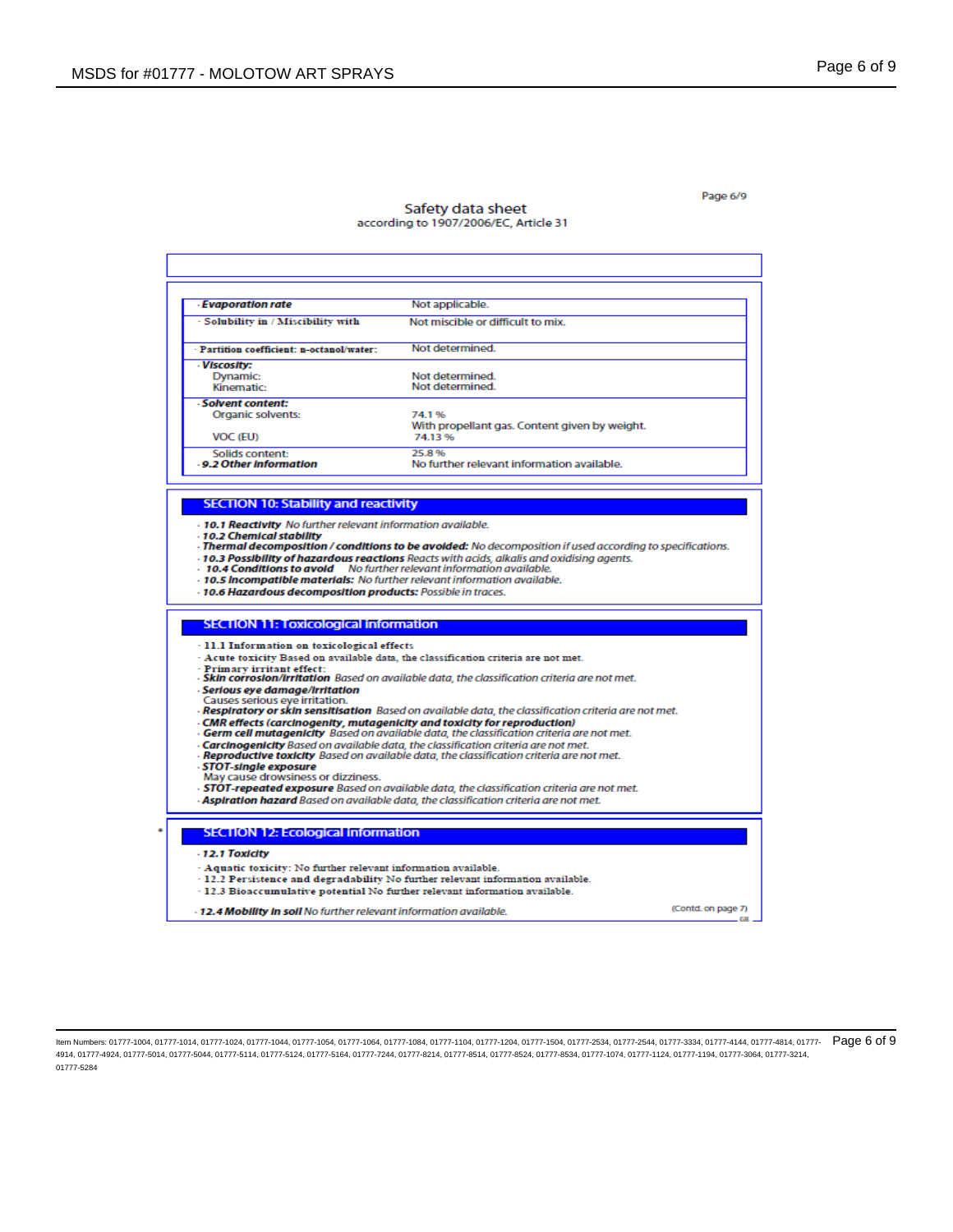Г

٠

### Page 6/9

## Safety data sheet<br>according to 1907/2006/EC, Article 31

| - Evaporation rate                                                                                                                                                                                                                                                                                                                                                                                                                 | Not applicable.                                                                                       |                    |
|------------------------------------------------------------------------------------------------------------------------------------------------------------------------------------------------------------------------------------------------------------------------------------------------------------------------------------------------------------------------------------------------------------------------------------|-------------------------------------------------------------------------------------------------------|--------------------|
| - Solubility in / Miscibility with                                                                                                                                                                                                                                                                                                                                                                                                 | Not miscible or difficult to mix.                                                                     |                    |
| Partition coefficient: n-octanol/water:                                                                                                                                                                                                                                                                                                                                                                                            | Not determined.                                                                                       |                    |
|                                                                                                                                                                                                                                                                                                                                                                                                                                    |                                                                                                       |                    |
| - Viscosity:<br>Dynamic:                                                                                                                                                                                                                                                                                                                                                                                                           | Not determined.                                                                                       |                    |
| Kinematic:                                                                                                                                                                                                                                                                                                                                                                                                                         | Not determined.                                                                                       |                    |
| - Solvent content:                                                                                                                                                                                                                                                                                                                                                                                                                 |                                                                                                       |                    |
| Organic solvents:                                                                                                                                                                                                                                                                                                                                                                                                                  | 74.1%                                                                                                 |                    |
| VOC (EU)                                                                                                                                                                                                                                                                                                                                                                                                                           | With propellant gas. Content given by weight.<br>74.13%                                               |                    |
| Solids content:                                                                                                                                                                                                                                                                                                                                                                                                                    | 25.8%                                                                                                 |                    |
| .9.2 Other Information                                                                                                                                                                                                                                                                                                                                                                                                             | No further relevant information available.                                                            |                    |
|                                                                                                                                                                                                                                                                                                                                                                                                                                    |                                                                                                       |                    |
| <b>SECTION 10: Stability and reactivity</b>                                                                                                                                                                                                                                                                                                                                                                                        |                                                                                                       |                    |
|                                                                                                                                                                                                                                                                                                                                                                                                                                    |                                                                                                       |                    |
| - Thermal decomposition / conditions to be avoided: No decomposition if used according to specifications.<br><b>10.3 Possibility of hazardous reactions</b> Reacts with acids, alkalis and oxidising agents.<br>- 10.4 Conditions to avoid No further relevant information available.<br>- 10.5 Incompatible materials: No further relevant information available.<br>- 10.6 Hazardous decomposition products: Possible in traces. |                                                                                                       |                    |
| <b>SECTION 11: Toxicological information</b>                                                                                                                                                                                                                                                                                                                                                                                       |                                                                                                       |                    |
| - 11.1 Information on toxicological effects                                                                                                                                                                                                                                                                                                                                                                                        |                                                                                                       |                    |
| - Primary irritant effect:                                                                                                                                                                                                                                                                                                                                                                                                         | - Acute toxicity Based on available data, the classification criteria are not met.                    |                    |
|                                                                                                                                                                                                                                                                                                                                                                                                                                    | - Skin corrosion/irritation Based on available data, the classification criteria are not met.         |                    |
| - Serious eye damage/irritation<br>Causes serious eye irritation.                                                                                                                                                                                                                                                                                                                                                                  |                                                                                                       |                    |
|                                                                                                                                                                                                                                                                                                                                                                                                                                    | - Respiratory or skin sensitisation Based on available data, the classification criteria are not met. |                    |
| · CMR effects (carcinogenity, mutagenicity and toxicity for reproduction)                                                                                                                                                                                                                                                                                                                                                          | <b>Germ cell mutagenicity</b> Based on available data, the classification criteria are not met.       |                    |
|                                                                                                                                                                                                                                                                                                                                                                                                                                    | - Carcinogenicity Based on available data, the classification criteria are not met.                   |                    |
|                                                                                                                                                                                                                                                                                                                                                                                                                                    | - Reproductive toxicity Based on available data, the classification criteria are not met.             |                    |
| <b>STOT-single exposure</b><br>May cause drowsiness or dizziness.                                                                                                                                                                                                                                                                                                                                                                  |                                                                                                       |                    |
|                                                                                                                                                                                                                                                                                                                                                                                                                                    | - STOT-repeated exposure Based on available data, the classification criteria are not met.            |                    |
|                                                                                                                                                                                                                                                                                                                                                                                                                                    | - <b>Aspiration hazard</b> Based on available data, the classification criteria are not met.          |                    |
| <b>SECTION 12: Ecological information</b>                                                                                                                                                                                                                                                                                                                                                                                          |                                                                                                       |                    |
| $-12.1$ Toxicity                                                                                                                                                                                                                                                                                                                                                                                                                   |                                                                                                       |                    |
| - Aquatic toxicity: No further relevant information available.                                                                                                                                                                                                                                                                                                                                                                     |                                                                                                       |                    |
|                                                                                                                                                                                                                                                                                                                                                                                                                                    | - 12.2 Persistence and degradability No further relevant information available.                       |                    |
| - 12.3 Bioaccumulative potential No further relevant information available.<br>- 12.4 Mobility in soil No further relevant information available.                                                                                                                                                                                                                                                                                  |                                                                                                       | (Contd. on page 7) |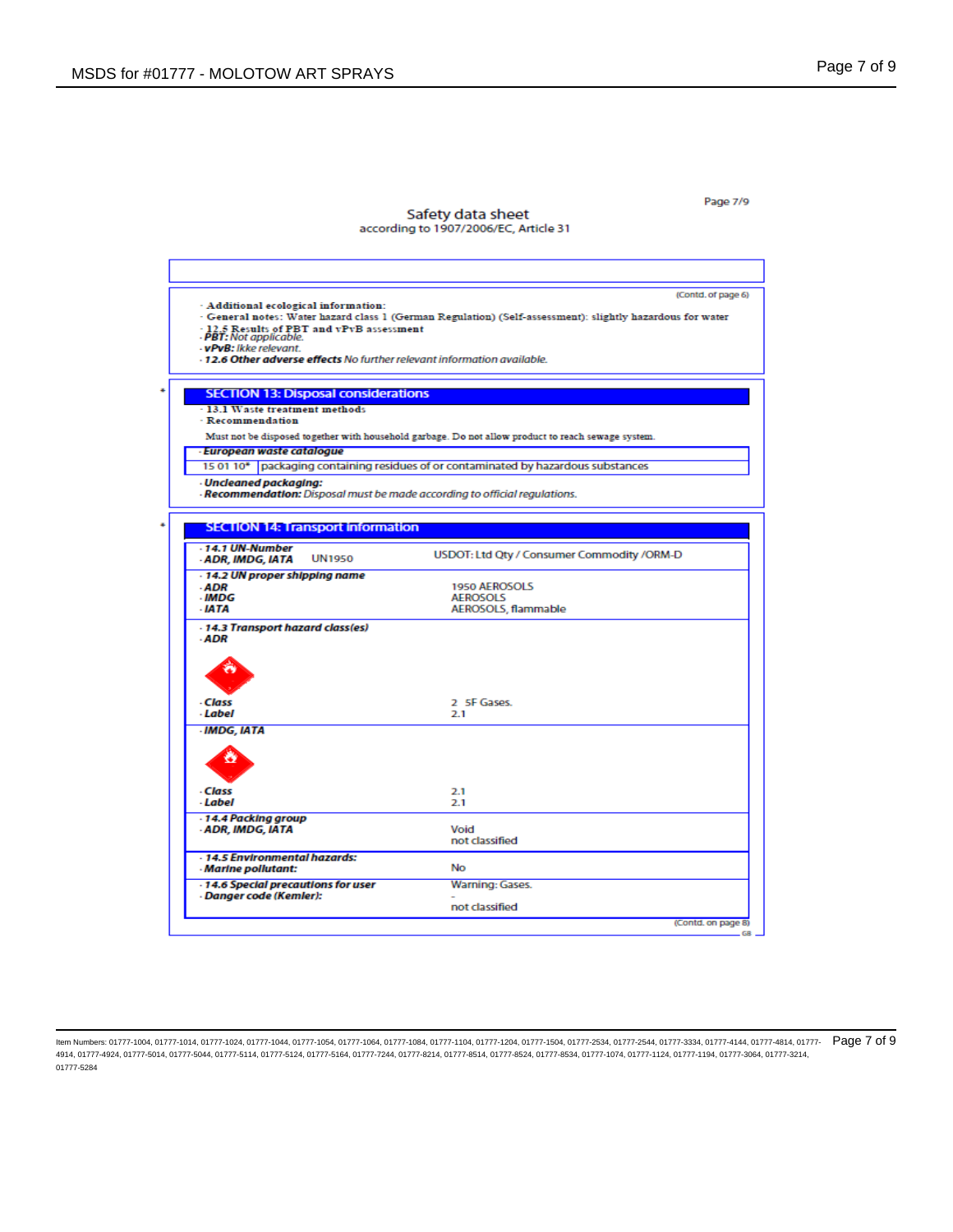Page 7/9

# Safety data sheet<br>according to 1907/2006/EC, Article 31

|                                                                            | (Contd. of page 6)                                                                                        |
|----------------------------------------------------------------------------|-----------------------------------------------------------------------------------------------------------|
| - Additional ecological information:                                       |                                                                                                           |
|                                                                            | · General notes: Water hazard class 1 (German Regulation) (Self-assessment): slightly hazardous for water |
| - 12.5 Results of PBT and vPvB assessment<br>- PBT: Not applicable.        |                                                                                                           |
| - vPvB: Ikke relevant.                                                     |                                                                                                           |
| -12.6 Other adverse effects No further relevant information available.     |                                                                                                           |
| <b>SECTION 13: Disposal considerations</b>                                 |                                                                                                           |
| - 13.1 Waste treatment methods                                             |                                                                                                           |
| - Recommendation                                                           |                                                                                                           |
|                                                                            | Must not be disposed together with household garbage. Do not allow product to reach sewage system.        |
| - European waste catalogue                                                 |                                                                                                           |
|                                                                            | 15 01 10* packaging containing residues of or contaminated by hazardous substances                        |
| <b>Uncleaned packaging:</b>                                                |                                                                                                           |
| - Recommendation: Disposal must be made according to official regulations. |                                                                                                           |
|                                                                            |                                                                                                           |
| <b>SECTION 14: Transport information</b>                                   |                                                                                                           |
| $-14.1$ UN-Number<br><b>UN1950</b><br><b>ADR, IMDG, IATA</b>               | USDOT: Ltd Qty / Consumer Commodity /ORM-D                                                                |
| - 14.2 UN proper shipping name                                             |                                                                                                           |
| ADR<br>$-MDG$                                                              | 1950 AEROSOLS<br><b>AEROSOLS</b>                                                                          |
| - IATA                                                                     | AEROSOLS, flammable                                                                                       |
|                                                                            |                                                                                                           |
| - 14.3 Transport hazard class(es)<br>- ADR                                 |                                                                                                           |
|                                                                            |                                                                                                           |
|                                                                            |                                                                                                           |
|                                                                            |                                                                                                           |
|                                                                            |                                                                                                           |
| - Class<br>- Label                                                         | 2 5F Gases.<br>2.1                                                                                        |
|                                                                            |                                                                                                           |
| <b>IMDG, IATA</b>                                                          |                                                                                                           |
|                                                                            |                                                                                                           |
|                                                                            |                                                                                                           |
|                                                                            |                                                                                                           |
| - Class                                                                    | 2.1                                                                                                       |
| - Label                                                                    | 2.1                                                                                                       |
| - 14.4 Packing group                                                       |                                                                                                           |
| - ADR, IMDG, IATA                                                          | Void<br>not classified                                                                                    |
|                                                                            |                                                                                                           |
| - 14.5 Environmental hazards:<br>- Marine pollutant:                       | No                                                                                                        |
|                                                                            |                                                                                                           |
| - 14.6 Special precautions for user<br>- Danger code (Kemler):             | Warning: Gases.                                                                                           |
|                                                                            | not classified                                                                                            |
|                                                                            |                                                                                                           |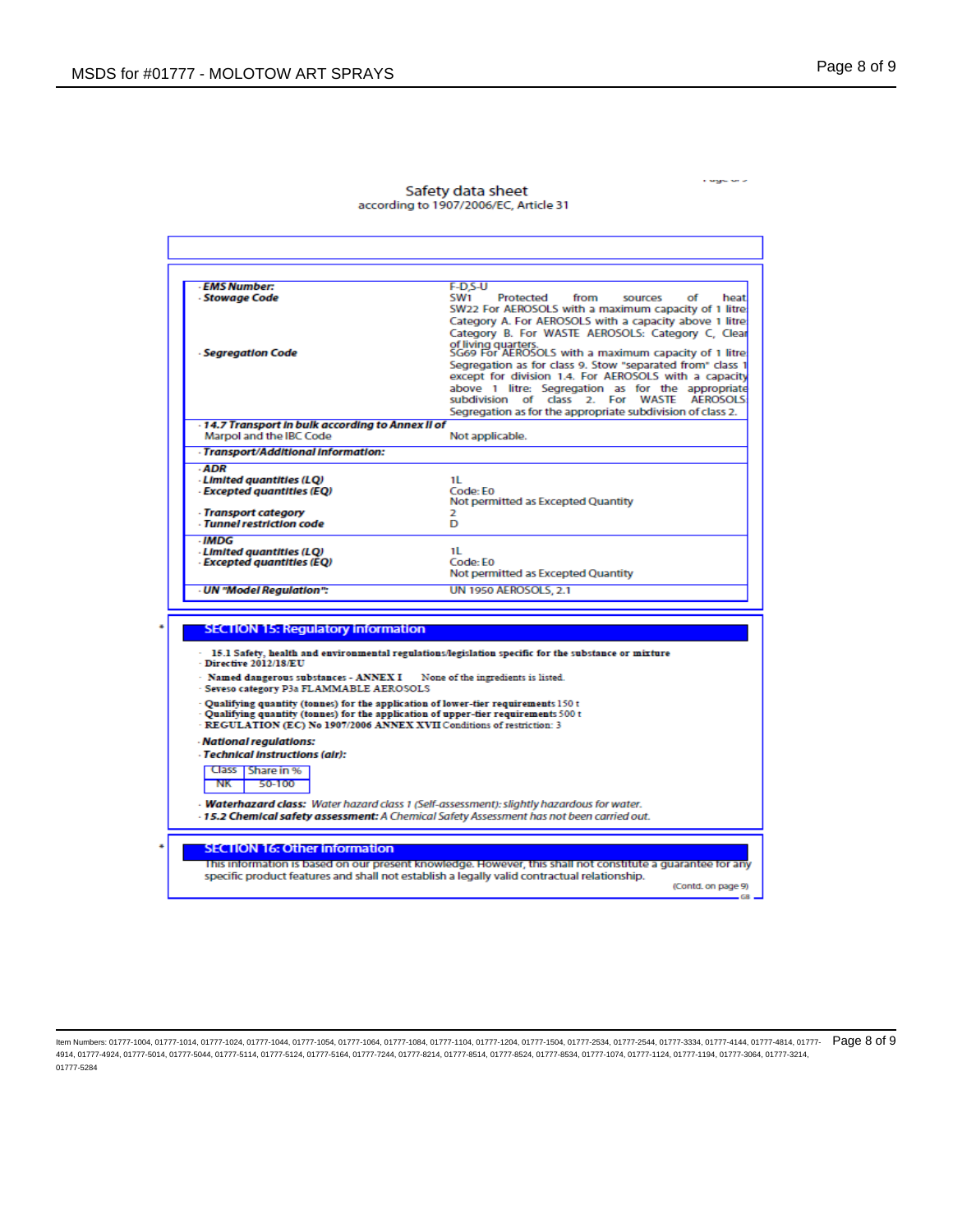r agulais

| - EMS Number:                                                                       | F-D.S-U                                                                                                                                                                                                   |
|-------------------------------------------------------------------------------------|-----------------------------------------------------------------------------------------------------------------------------------------------------------------------------------------------------------|
| - Stowaae Code                                                                      | SW1<br>Protected<br>from<br><b>SOUICES</b><br>Ωf<br>heatl<br>SW22 For AEROSOLS with a maximum capacity of 1 litre                                                                                         |
|                                                                                     | Category A. For AEROSOLS with a capacity above 1 litre                                                                                                                                                    |
|                                                                                     | Category B. For WASTE AEROSOLS: Category C. Clear                                                                                                                                                         |
|                                                                                     | of living quarters.<br>SG69 For AEROSOLS with a maximum capacity of 1 litre                                                                                                                               |
| - Segregation Code                                                                  | Segregation as for class 9. Stow "separated from" class 1                                                                                                                                                 |
|                                                                                     | except for division 1.4. For AEROSOLS with a capacity                                                                                                                                                     |
|                                                                                     | above 1 litre: Segregation as for the appropriate                                                                                                                                                         |
|                                                                                     | subdivision of class 2. For WASTE AEROSOLS:                                                                                                                                                               |
|                                                                                     | Segregation as for the appropriate subdivision of class 2.                                                                                                                                                |
| - 14.7 Transport in bulk according to Annex II of<br>Marpol and the IBC Code        | Not applicable.                                                                                                                                                                                           |
| - Transport/Additional Information:                                                 |                                                                                                                                                                                                           |
| - ADR                                                                               |                                                                                                                                                                                                           |
| · Limited quantities (LQ)                                                           | 11.                                                                                                                                                                                                       |
| - Excepted quantities (EQ)                                                          | Code: E0                                                                                                                                                                                                  |
|                                                                                     | Not permitted as Excepted Quantity                                                                                                                                                                        |
| · Transport category<br>- Tunnel restriction code                                   | 2<br>D                                                                                                                                                                                                    |
| . IMDG                                                                              |                                                                                                                                                                                                           |
| - Limited quantities (LQ)                                                           | 11                                                                                                                                                                                                        |
| · Excepted quantities (EQ)                                                          | Code: E0                                                                                                                                                                                                  |
|                                                                                     | Not permitted as Excepted Quantity                                                                                                                                                                        |
|                                                                                     |                                                                                                                                                                                                           |
| - UN "Model Regulation":                                                            | <b>UN 1950 AEROSOLS. 2.1</b>                                                                                                                                                                              |
|                                                                                     |                                                                                                                                                                                                           |
|                                                                                     |                                                                                                                                                                                                           |
| <b>SECTION 15: Regulatory information</b>                                           |                                                                                                                                                                                                           |
|                                                                                     | 15.1 Safety, health and environmental regulations/legislation specific for the substance or mixture                                                                                                       |
| $-$ Directive 2012/18/EU                                                            |                                                                                                                                                                                                           |
| · Named dangerous substances - ANNEX I                                              | None of the ingredients is listed.                                                                                                                                                                        |
| - Seveso category P3a FLAMMABLE AEROSOLS                                            |                                                                                                                                                                                                           |
| - Qualifying quantity (tonnes) for the application of lower-tier requirements 150 t | - Qualifying quantity (tonnes) for the application of upper-tier requirements 500 t                                                                                                                       |
| - REGULATION (EC) No 1907/2006 ANNEX XVII Conditions of restriction: 3              |                                                                                                                                                                                                           |
| - National regulations:                                                             |                                                                                                                                                                                                           |
| - Technical instructions (air):                                                     |                                                                                                                                                                                                           |
| Class   Share in %                                                                  |                                                                                                                                                                                                           |
| NK<br>50-100                                                                        |                                                                                                                                                                                                           |
|                                                                                     |                                                                                                                                                                                                           |
|                                                                                     | - Waterhazard class: Water hazard class 1 (Self-assessment): slightly hazardous for water.<br>- 15.2 Chemical safety assessment: A Chemical Safety Assessment has not been carried out.                   |
|                                                                                     |                                                                                                                                                                                                           |
| <b>SECTION 16: Other information</b>                                                |                                                                                                                                                                                                           |
|                                                                                     |                                                                                                                                                                                                           |
|                                                                                     | This information is based on our present knowledge. However, this shall not constitute a quarantee for any<br>specific product features and shall not establish a legally valid contractual relationship. |

### Safety data sheet according to 1907/2006/EC, Article 31